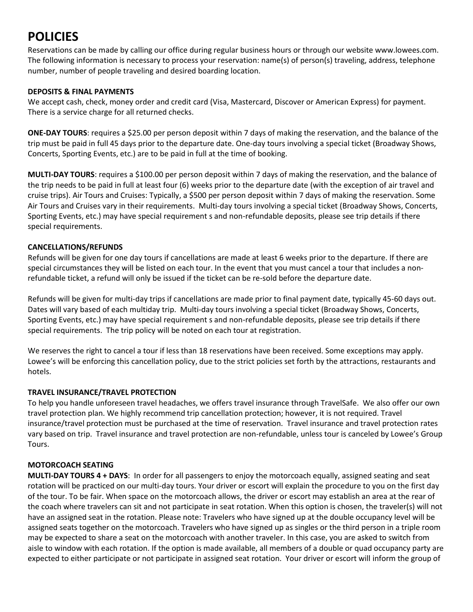# **POLICIES**

Reservations can be made by calling our office during regular business hours or through our website www.lowees.com. The following information is necessary to process your reservation: name(s) of person(s) traveling, address, telephone number, number of people traveling and desired boarding location.

### **DEPOSITS & FINAL PAYMENTS**

We accept cash, check, money order and credit card (Visa, Mastercard, Discover or American Express) for payment. There is a service charge for all returned checks.

**ONE-DAY TOURS**: requires a \$25.00 per person deposit within 7 days of making the reservation, and the balance of the trip must be paid in full 45 days prior to the departure date. One-day tours involving a special ticket (Broadway Shows, Concerts, Sporting Events, etc.) are to be paid in full at the time of booking.

**MULTI-DAY TOURS**: requires a \$100.00 per person deposit within 7 days of making the reservation, and the balance of the trip needs to be paid in full at least four (6) weeks prior to the departure date (with the exception of air travel and cruise trips). Air Tours and Cruises: Typically, a \$500 per person deposit within 7 days of making the reservation. Some Air Tours and Cruises vary in their requirements. Multi-day tours involving a special ticket (Broadway Shows, Concerts, Sporting Events, etc.) may have special requirement s and non-refundable deposits, please see trip details if there special requirements.

# **CANCELLATIONS/REFUNDS**

Refunds will be given for one day tours if cancellations are made at least 6 weeks prior to the departure. If there are special circumstances they will be listed on each tour. In the event that you must cancel a tour that includes a nonrefundable ticket, a refund will only be issued if the ticket can be re-sold before the departure date.

Refunds will be given for multi-day trips if cancellations are made prior to final payment date, typically 45-60 days out. Dates will vary based of each multiday trip. Multi-day tours involving a special ticket (Broadway Shows, Concerts, Sporting Events, etc.) may have special requirement s and non-refundable deposits, please see trip details if there special requirements. The trip policy will be noted on each tour at registration.

We reserves the right to cancel a tour if less than 18 reservations have been received. Some exceptions may apply. Lowee's will be enforcing this cancellation policy, due to the strict policies set forth by the attractions, restaurants and hotels.

# **TRAVEL INSURANCE/TRAVEL PROTECTION**

To help you handle unforeseen travel headaches, we offers travel insurance through TravelSafe. We also offer our own travel protection plan. We highly recommend trip cancellation protection; however, it is not required. Travel insurance/travel protection must be purchased at the time of reservation. Travel insurance and travel protection rates vary based on trip. Travel insurance and travel protection are non-refundable, unless tour is canceled by Lowee's Group Tours.

# **MOTORCOACH SEATING**

**MULTI-DAY TOURS 4 + DAYS**: In order for all passengers to enjoy the motorcoach equally, assigned seating and seat rotation will be practiced on our multi-day tours. Your driver or escort will explain the procedure to you on the first day of the tour. To be fair. When space on the motorcoach allows, the driver or escort may establish an area at the rear of the coach where travelers can sit and not participate in seat rotation. When this option is chosen, the traveler(s) will not have an assigned seat in the rotation. Please note: Travelers who have signed up at the double occupancy level will be assigned seats together on the motorcoach. Travelers who have signed up as singles or the third person in a triple room may be expected to share a seat on the motorcoach with another traveler. In this case, you are asked to switch from aisle to window with each rotation. If the option is made available, all members of a double or quad occupancy party are expected to either participate or not participate in assigned seat rotation. Your driver or escort will inform the group of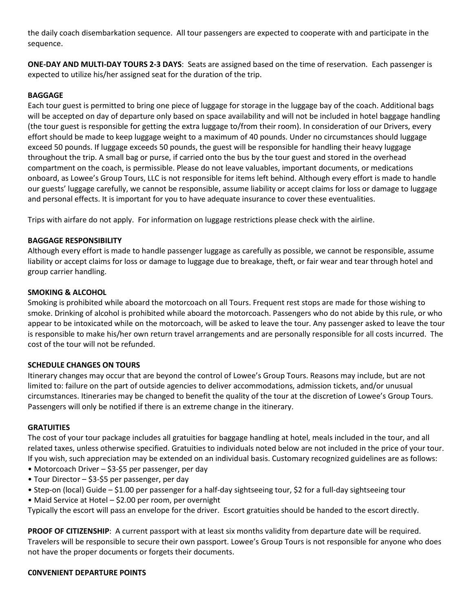the daily coach disembarkation sequence. All tour passengers are expected to cooperate with and participate in the sequence.

**ONE-DAY AND MULTI-DAY TOURS 2-3 DAYS**: Seats are assigned based on the time of reservation. Each passenger is expected to utilize his/her assigned seat for the duration of the trip.

## **BAGGAGE**

Each tour guest is permitted to bring one piece of luggage for storage in the luggage bay of the coach. Additional bags will be accepted on day of departure only based on space availability and will not be included in hotel baggage handling (the tour guest is responsible for getting the extra luggage to/from their room). In consideration of our Drivers, every effort should be made to keep luggage weight to a maximum of 40 pounds. Under no circumstances should luggage exceed 50 pounds. If luggage exceeds 50 pounds, the guest will be responsible for handling their heavy luggage throughout the trip. A small bag or purse, if carried onto the bus by the tour guest and stored in the overhead compartment on the coach, is permissible. Please do not leave valuables, important documents, or medications onboard, as Lowee's Group Tours, LLC is not responsible for items left behind. Although every effort is made to handle our guests' luggage carefully, we cannot be responsible, assume liability or accept claims for loss or damage to luggage and personal effects. It is important for you to have adequate insurance to cover these eventualities.

Trips with airfare do not apply. For information on luggage restrictions please check with the airline.

## **BAGGAGE RESPONSIBILITY**

Although every effort is made to handle passenger luggage as carefully as possible, we cannot be responsible, assume liability or accept claims for loss or damage to luggage due to breakage, theft, or fair wear and tear through hotel and group carrier handling.

#### **SMOKING & ALCOHOL**

Smoking is prohibited while aboard the motorcoach on all Tours. Frequent rest stops are made for those wishing to smoke. Drinking of alcohol is prohibited while aboard the motorcoach. Passengers who do not abide by this rule, or who appear to be intoxicated while on the motorcoach, will be asked to leave the tour. Any passenger asked to leave the tour is responsible to make his/her own return travel arrangements and are personally responsible for all costs incurred. The cost of the tour will not be refunded.

#### **SCHEDULE CHANGES ON TOURS**

Itinerary changes may occur that are beyond the control of Lowee's Group Tours. Reasons may include, but are not limited to: failure on the part of outside agencies to deliver accommodations, admission tickets, and/or unusual circumstances. Itineraries may be changed to benefit the quality of the tour at the discretion of Lowee's Group Tours. Passengers will only be notified if there is an extreme change in the itinerary.

#### **GRATUITIES**

The cost of your tour package includes all gratuities for baggage handling at hotel, meals included in the tour, and all related taxes, unless otherwise specified. Gratuities to individuals noted below are not included in the price of your tour. If you wish, such appreciation may be extended on an individual basis. Customary recognized guidelines are as follows:

- Motorcoach Driver \$3-\$5 per passenger, per day
- Tour Director \$3-\$5 per passenger, per day
- Step-on (local) Guide \$1.00 per passenger for a half-day sightseeing tour, \$2 for a full-day sightseeing tour
- Maid Service at Hotel \$2.00 per room, per overnight

Typically the escort will pass an envelope for the driver. Escort gratuities should be handed to the escort directly.

**PROOF OF CITIZENSHIP**: A current passport with at least six months validity from departure date will be required. Travelers will be responsible to secure their own passport. Lowee's Group Tours is not responsible for anyone who does not have the proper documents or forgets their documents.

#### **C0NVENIENT DEPARTURE POINTS**